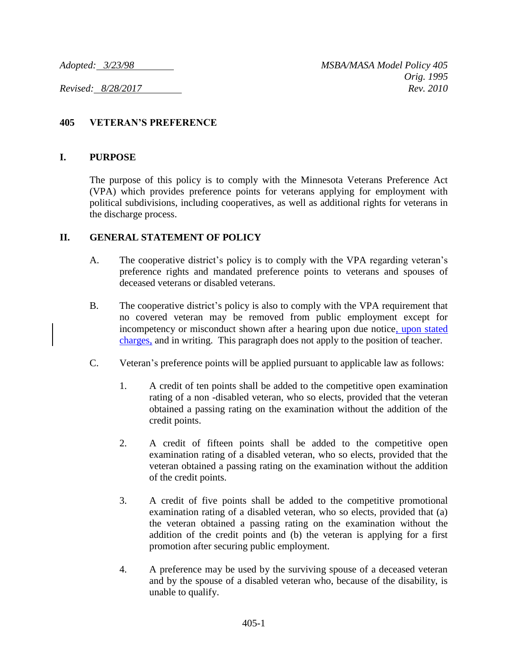## **405 VETERAN'S PREFERENCE**

## **I. PURPOSE**

The purpose of this policy is to comply with the Minnesota Veterans Preference Act (VPA) which provides preference points for veterans applying for employment with political subdivisions, including cooperatives, as well as additional rights for veterans in the discharge process.

## **II. GENERAL STATEMENT OF POLICY**

- A. The cooperative district's policy is to comply with the VPA regarding veteran's preference rights and mandated preference points to veterans and spouses of deceased veterans or disabled veterans.
- B. The cooperative district's policy is also to comply with the VPA requirement that no covered veteran may be removed from public employment except for incompetency or misconduct shown after a hearing upon due notice, upon stated charges, and in writing. This paragraph does not apply to the position of teacher.
- C. Veteran's preference points will be applied pursuant to applicable law as follows:
	- 1. A credit of ten points shall be added to the competitive open examination rating of a non -disabled veteran, who so elects, provided that the veteran obtained a passing rating on the examination without the addition of the credit points.
	- 2. A credit of fifteen points shall be added to the competitive open examination rating of a disabled veteran, who so elects, provided that the veteran obtained a passing rating on the examination without the addition of the credit points.
	- 3. A credit of five points shall be added to the competitive promotional examination rating of a disabled veteran, who so elects, provided that (a) the veteran obtained a passing rating on the examination without the addition of the credit points and (b) the veteran is applying for a first promotion after securing public employment.
	- 4. A preference may be used by the surviving spouse of a deceased veteran and by the spouse of a disabled veteran who, because of the disability, is unable to qualify.